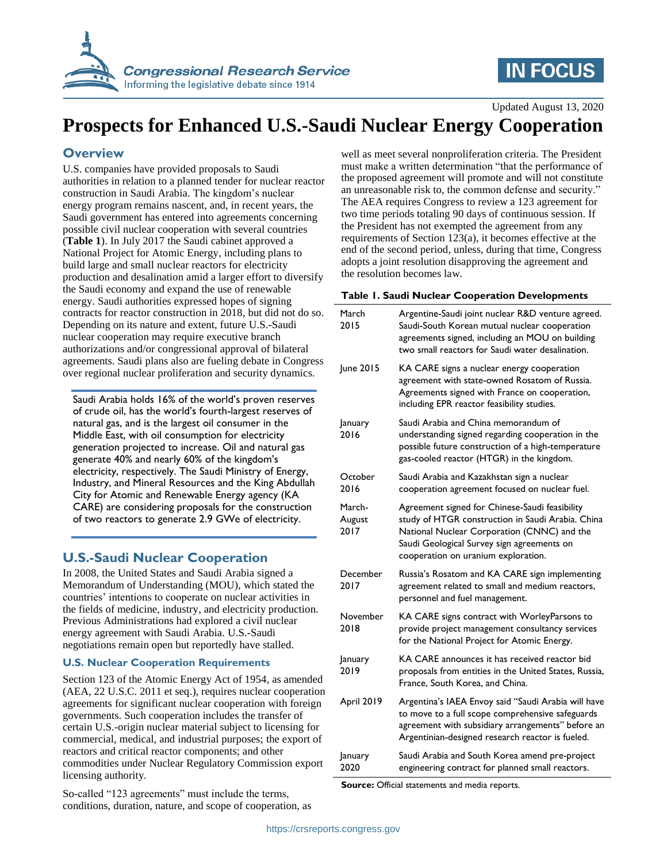

# **IN FOCUS**

Updated August 13, 2020

## **Prospects for Enhanced U.S.-Saudi Nuclear Energy Cooperation**

### **Overview**

U.S. companies have provided proposals to Saudi authorities in relation to a planned tender for nuclear reactor construction in Saudi Arabia. The kingdom's nuclear energy program remains nascent, and, in recent years, the Saudi government has entered into agreements concerning possible civil nuclear cooperation with several countries (**[Table 1](#page-0-0)**). In July 2017 the Saudi cabinet approved a National Project for Atomic Energy, including plans to build large and small nuclear reactors for electricity production and desalination amid a larger effort to diversify the Saudi economy and expand the use of renewable energy. Saudi authorities expressed hopes of signing contracts for reactor construction in 2018, but did not do so. Depending on its nature and extent, future U.S.-Saudi nuclear cooperation may require executive branch authorizations and/or congressional approval of bilateral agreements. Saudi plans also are fueling debate in Congress over regional nuclear proliferation and security dynamics.

Saudi Arabia holds 16% of the world's proven reserves of crude oil, has the world's fourth-largest reserves of natural gas, and is the largest oil consumer in the Middle East, with oil consumption for electricity generation projected to increase. Oil and natural gas generate 40% and nearly 60% of the kingdom's electricity, respectively. The Saudi Ministry of Energy, Industry, and Mineral Resources and the King Abdullah City for Atomic and Renewable Energy agency (KA CARE) are considering proposals for the construction of two reactors to generate 2.9 GWe of electricity.

### **U.S.-Saudi Nuclear Cooperation**

In 2008, the United States and Saudi Arabia signed a Memorandum of Understanding (MOU), which stated the countries' intentions to cooperate on nuclear activities in the fields of medicine, industry, and electricity production. Previous Administrations had explored a civil nuclear energy agreement with Saudi Arabia. U.S.-Saudi negotiations remain open but reportedly have stalled.

#### **U.S. Nuclear Cooperation Requirements**

Section 123 of the Atomic Energy Act of 1954, as amended (AEA, 22 U.S.C. 2011 et seq.), requires nuclear cooperation agreements for significant nuclear cooperation with foreign governments. Such cooperation includes the transfer of certain U.S.-origin nuclear material subject to licensing for commercial, medical, and industrial purposes; the export of reactors and critical reactor components; and other commodities under Nuclear Regulatory Commission export licensing authority.

So-called "123 agreements" must include the terms, conditions, duration, nature, and scope of cooperation, as well as meet several nonproliferation criteria. The President must make a written determination "that the performance of the proposed agreement will promote and will not constitute an unreasonable risk to, the common defense and security." The AEA requires Congress to review a 123 agreement for two time periods totaling 90 days of continuous session. If the President has not exempted the agreement from any requirements of Section 123(a), it becomes effective at the end of the second period, unless, during that time, Congress adopts a joint resolution disapproving the agreement and the resolution becomes law.

#### <span id="page-0-0"></span>**Table 1. Saudi Nuclear Cooperation Developments**

| March<br>2015            | Argentine-Saudi joint nuclear R&D venture agreed.<br>Saudi-South Korean mutual nuclear cooperation<br>agreements signed, including an MOU on building<br>two small reactors for Saudi water desalination.                               |
|--------------------------|-----------------------------------------------------------------------------------------------------------------------------------------------------------------------------------------------------------------------------------------|
| June 2015                | KA CARE signs a nuclear energy cooperation<br>agreement with state-owned Rosatom of Russia.<br>Agreements signed with France on cooperation,<br>including EPR reactor feasibility studies.                                              |
| January<br>2016          | Saudi Arabia and China memorandum of<br>understanding signed regarding cooperation in the<br>possible future construction of a high-temperature<br>gas-cooled reactor (HTGR) in the kingdom.                                            |
| October<br>2016          | Saudi Arabia and Kazakhstan sign a nuclear<br>cooperation agreement focused on nuclear fuel.                                                                                                                                            |
| March-<br>August<br>2017 | Agreement signed for Chinese-Saudi feasibility<br>study of HTGR construction in Saudi Arabia. China<br>National Nuclear Corporation (CNNC) and the<br>Saudi Geological Survey sign agreements on<br>cooperation on uranium exploration. |
| December<br>2017         | Russia's Rosatom and KA CARE sign implementing<br>agreement related to small and medium reactors,<br>personnel and fuel management.                                                                                                     |
| November<br>2018         | KA CARE signs contract with WorleyParsons to<br>provide project management consultancy services<br>for the National Project for Atomic Energy.                                                                                          |
| January<br>2019          | KA CARE announces it has received reactor bid<br>proposals from entities in the United States, Russia,<br>France, South Korea, and China.                                                                                               |
| April 2019               | Argentina's IAEA Envoy said "Saudi Arabia will have<br>to move to a full scope comprehensive safeguards<br>agreement with subsidiary arrangements" before an<br>Argentinian-designed research reactor is fueled.                        |
| January<br>2020          | Saudi Arabia and South Korea amend pre-project<br>engineering contract for planned small reactors.                                                                                                                                      |

**Source:** Official statements and media reports.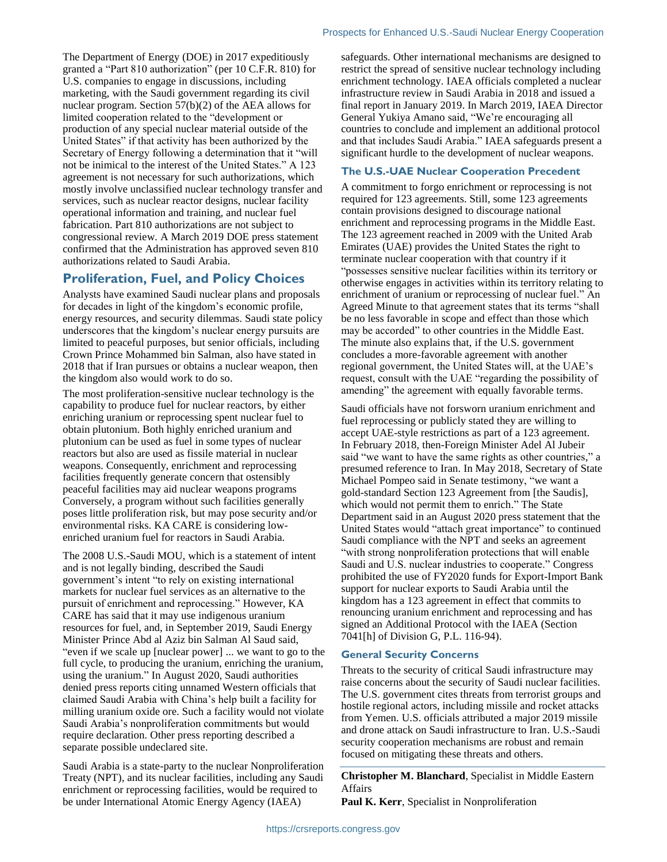The Department of Energy (DOE) in 2017 expeditiously granted a "Part 810 authorization" (per 10 C.F.R. 810) for U.S. companies to engage in discussions, including marketing, with the Saudi government regarding its civil nuclear program. Section 57(b)(2) of the AEA allows for limited cooperation related to the "development or production of any special nuclear material outside of the United States" if that activity has been authorized by the Secretary of Energy following a determination that it "will not be inimical to the interest of the United States." A 123 agreement is not necessary for such authorizations, which mostly involve unclassified nuclear technology transfer and services, such as nuclear reactor designs, nuclear facility operational information and training, and nuclear fuel fabrication. Part 810 authorizations are not subject to congressional review. A March 2019 DOE press statement

## **Proliferation, Fuel, and Policy Choices**

authorizations related to Saudi Arabia.

confirmed that the Administration has approved seven 810

Analysts have examined Saudi nuclear plans and proposals for decades in light of the kingdom's economic profile, energy resources, and security dilemmas. Saudi state policy underscores that the kingdom's nuclear energy pursuits are limited to peaceful purposes, but senior officials, including Crown Prince Mohammed bin Salman, also have stated in 2018 that if Iran pursues or obtains a nuclear weapon, then the kingdom also would work to do so.

The most proliferation-sensitive nuclear technology is the capability to produce fuel for nuclear reactors, by either enriching uranium or reprocessing spent nuclear fuel to obtain plutonium. Both highly enriched uranium and plutonium can be used as fuel in some types of nuclear reactors but also are used as fissile material in nuclear weapons. Consequently, enrichment and reprocessing facilities frequently generate concern that ostensibly peaceful facilities may aid nuclear weapons programs Conversely, a program without such facilities generally poses little proliferation risk, but may pose security and/or environmental risks. KA CARE is considering lowenriched uranium fuel for reactors in Saudi Arabia.

The 2008 U.S.-Saudi MOU, which is a statement of intent and is not legally binding, described the Saudi government's intent "to rely on existing international markets for nuclear fuel services as an alternative to the pursuit of enrichment and reprocessing." However, KA CARE has said that it may use indigenous uranium resources for fuel, and, in September 2019, Saudi Energy Minister Prince Abd al Aziz bin Salman Al Saud said, "even if we scale up [nuclear power] ... we want to go to the full cycle, to producing the uranium, enriching the uranium, using the uranium." In August 2020, Saudi authorities denied press reports citing unnamed Western officials that claimed Saudi Arabia with China's help built a facility for milling uranium oxide ore. Such a facility would not violate Saudi Arabia's nonproliferation commitments but would require declaration. Other press reporting described a separate possible undeclared site.

Saudi Arabia is a state-party to the nuclear Nonproliferation Treaty (NPT), and its nuclear facilities, including any Saudi enrichment or reprocessing facilities, would be required to be under International Atomic Energy Agency (IAEA)

safeguards. Other international mechanisms are designed to restrict the spread of sensitive nuclear technology including enrichment technology. IAEA officials completed a nuclear infrastructure review in Saudi Arabia in 2018 and issued a final report in January 2019. In March 2019, IAEA Director General Yukiya Amano said, "We're encouraging all countries to conclude and implement an additional protocol and that includes Saudi Arabia." IAEA safeguards present a significant hurdle to the development of nuclear weapons.

#### **The U.S.-UAE Nuclear Cooperation Precedent**

A commitment to forgo enrichment or reprocessing is not required for 123 agreements. Still, some 123 agreements contain provisions designed to discourage national enrichment and reprocessing programs in the Middle East. The 123 agreement reached in 2009 with the United Arab Emirates (UAE) provides the United States the right to terminate nuclear cooperation with that country if it "possesses sensitive nuclear facilities within its territory or otherwise engages in activities within its territory relating to enrichment of uranium or reprocessing of nuclear fuel." An Agreed Minute to that agreement states that its terms "shall be no less favorable in scope and effect than those which may be accorded" to other countries in the Middle East. The minute also explains that, if the U.S. government concludes a more-favorable agreement with another regional government, the United States will, at the UAE's request, consult with the UAE "regarding the possibility of amending" the agreement with equally favorable terms.

Saudi officials have not forsworn uranium enrichment and fuel reprocessing or publicly stated they are willing to accept UAE-style restrictions as part of a 123 agreement. In February 2018, then-Foreign Minister Adel Al Jubeir said "we want to have the same rights as other countries," a presumed reference to Iran. In May 2018, Secretary of State Michael Pompeo said in Senate testimony, "we want a gold-standard Section 123 Agreement from [the Saudis], which would not permit them to enrich." The State Department said in an August 2020 press statement that the United States would "attach great importance" to continued Saudi compliance with the NPT and seeks an agreement "with strong nonproliferation protections that will enable Saudi and U.S. nuclear industries to cooperate." Congress prohibited the use of FY2020 funds for Export-Import Bank support for nuclear exports to Saudi Arabia until the kingdom has a 123 agreement in effect that commits to renouncing uranium enrichment and reprocessing and has signed an Additional Protocol with the IAEA (Section 7041[h] of Division G, P.L. 116-94).

#### **General Security Concerns**

Threats to the security of critical Saudi infrastructure may raise concerns about the security of Saudi nuclear facilities. The U.S. government cites threats from terrorist groups and hostile regional actors, including missile and rocket attacks from Yemen. U.S. officials attributed a major 2019 missile and drone attack on Saudi infrastructure to Iran. U.S.-Saudi security cooperation mechanisms are robust and remain focused on mitigating these threats and others.

**Christopher M. Blanchard**, Specialist in Middle Eastern Affairs